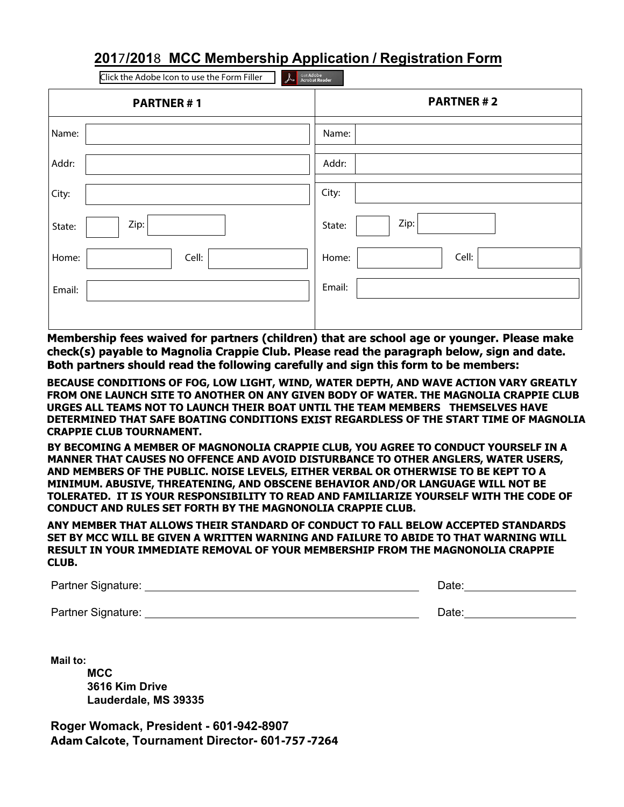## **2017/2018 MCC Membership Application / Registration Form**

| Get Adobe<br>Acrobat Reader<br>Click the Adobe Icon to use the Form Filler<br>$\lambda$ |                  |  |  |  |
|-----------------------------------------------------------------------------------------|------------------|--|--|--|
| <b>PARTNER#1</b>                                                                        | <b>PARTNER#2</b> |  |  |  |
| Name:                                                                                   | Name:            |  |  |  |
| Addr:                                                                                   | Addr:            |  |  |  |
| City:                                                                                   | City:            |  |  |  |
| Zip:<br>State:                                                                          | Zip:<br>State:   |  |  |  |
| Cell:<br>Home:                                                                          | Cell:<br>Home:   |  |  |  |
| Email:                                                                                  | Email:           |  |  |  |
|                                                                                         |                  |  |  |  |

Membership fees waived for partners (children) that are school age or younger. Please make check(s) payable to Magnolia Crappie Club. Please read the paragraph below, sign and date. Both partners should read the following carefully and sign this form to be members:

**BECAUSE CONDITIONS OF FOG, LOW LIGHT, WIND, WATER DEPTH, AND WAVE ACTION VARY GREATLY FROM ONE LAUNCH SITE TO ANOTHER ON ANY GIVEN BODY OF WATER. THE MAGNOLIA CRAPPIE CLUB URGES ALL TEAMS NOT TO LAUNCH THEIR BOAT UNTIL THE TEAM MEMBERS THEMSELVES HAVE DETERMINED THAT SAFE BOATING CONDITIONS REGARDLESS OF THE START TIME OF MAGNOLIA CRAPPIE CLUB TOURNAMENT.**

**BY BECOMING A MEMBER OF MAGNONOLIA CRAPPIE CLUB, YOU AGREE TO CONDUCT YOURSELF IN A MANNER THAT CAUSES NO OFFENCE AND AVOID DISTURBANCE TO OTHER ANGLERS, WATER USERS, AND MEMBERS OF THE PUBLIC. NOISE LEVELS, EITHER VERBAL OR OTHERWISE TO BE KEPT TO A MINIMUM. ABUSIVE, THREATENING, AND OBSCENE BEHAVIOR AND/OR LANGUAGE WILL NOT BE TOLERATED. IT IS YOUR RESPONSIBILITY TO READ AND FAMILIARIZE YOURSELF WITH THE CODE OF CONDUCT AND RULES SET FORTH BY THE MAGNONOLIA CRAPPIE CLUB.**

**ANY MEMBER THAT ALLOWS THEIR STANDARD OF CONDUCT TO FALL BELOW ACCEPTED STANDARDS SET BY MCC WILL BE GIVEN A WRITTEN WARNING AND FAILURE TO ABIDE TO THAT WARNING WILL RESULT IN YOUR IMMEDIATE REMOVAL OF YOUR MEMBERSHIP FROM THE MAGNONOLIA CRAPPIE CLUB.**

| Partner Signature: | Date: |
|--------------------|-------|
|                    |       |

Partner Signature: Date: Date: Date: Date: Date: Date: Date: Date: Date: Date: Date: Date: Date: Date: Date: Date: Date: Date: Date: Date: Date: Date: Date: Date: Date: Date: Date: Date: Date: Date: Date: Date: Date: Date:

**Mail to: MCC 3616 Kim Drive Lauderdale, MS 39335**

**Roger Womack, President - 601-942-8907 Adam Calcote, Tournament Director- 601-757 -7264**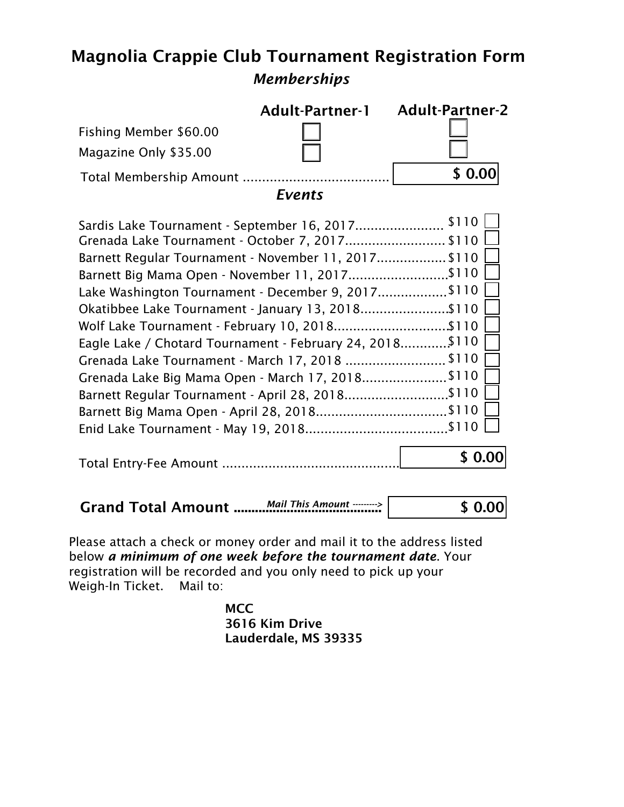## Magnolia Crappie Club Tournament Registration Form *Memberships*

| Fishing Member \$60.00<br>Magazine Only \$35.00                                                                                                                                                                                                                                                                                                                                                                                                                                                                                             | <b>Adult-Partner-1</b><br><b>Events</b> | <b>Adult-Partner-2</b><br>\$0.0 |
|---------------------------------------------------------------------------------------------------------------------------------------------------------------------------------------------------------------------------------------------------------------------------------------------------------------------------------------------------------------------------------------------------------------------------------------------------------------------------------------------------------------------------------------------|-----------------------------------------|---------------------------------|
| Grenada Lake Tournament - October 7, 2017 \$110<br>Barnett Regular Tournament - November 11, 2017 \$110<br>Barnett Big Mama Open - November 11, 2017\$110<br>Lake Washington Tournament - December 9, 2017\$110<br>Okatibbee Lake Tournament - January 13, 2018\$110<br>Wolf Lake Tournament - February 10, 2018\$110<br>Eagle Lake / Chotard Tournament - February 24, 2018\$110<br>Grenada Lake Tournament - March 17, 2018 \$110<br>Grenada Lake Big Mama Open - March 17, 2018\$110<br>Barnett Regular Tournament - April 28, 2018\$110 |                                         |                                 |
|                                                                                                                                                                                                                                                                                                                                                                                                                                                                                                                                             |                                         |                                 |

|  | Mail This Amount $\cdots \rightarrow$ | \$0.00 |
|--|---------------------------------------|--------|
|--|---------------------------------------|--------|

Please attach a check or money order and mail it to the address listed below *a minimum of one week before the tournament date*. Your registration will be recorded and you only need to pick up your Weigh-In Ticket. Mail to:

> **MCC** 3616 Kim Drive Lauderdale, MS 39335